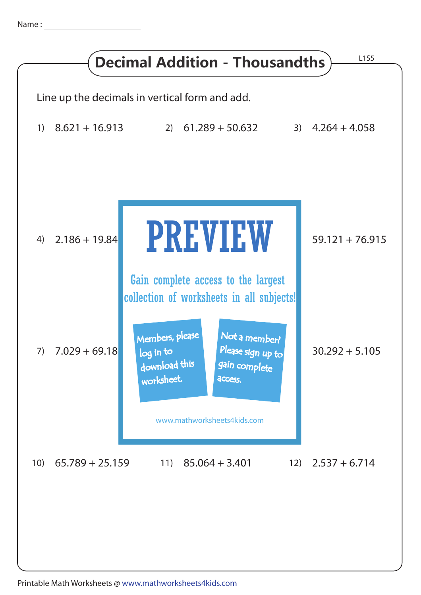